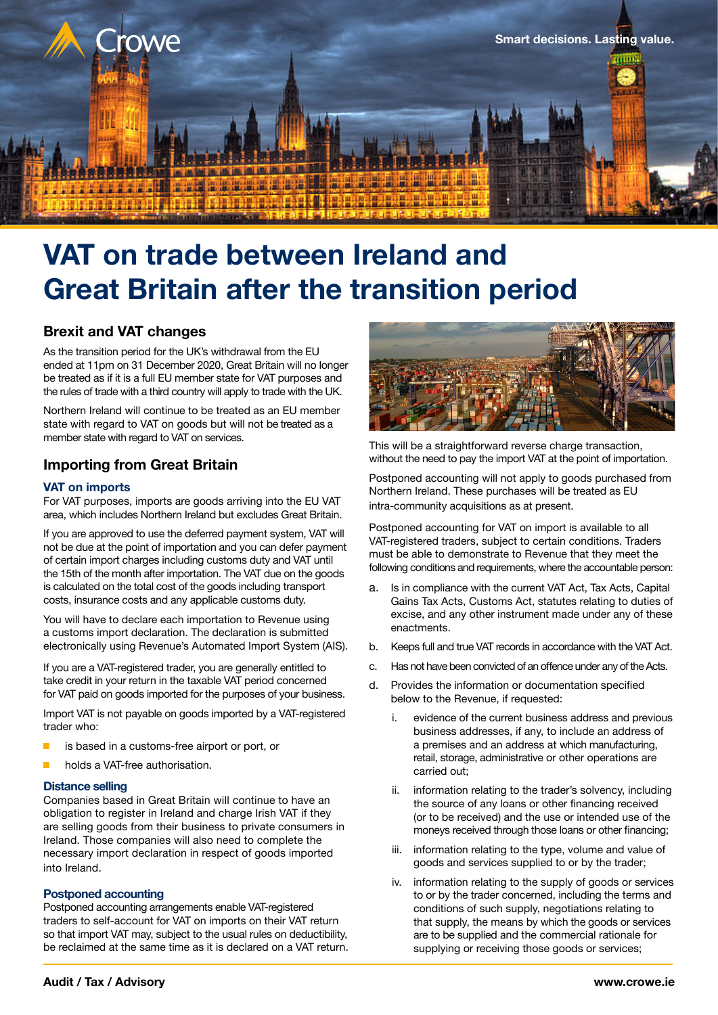

# **VAT on trade between Ireland and Great Britain after the transition period**

## **Brexit and VAT changes**

As the transition period for the UK's withdrawal from the EU ended at 11pm on 31 December 2020, Great Britain will no longer be treated as if it is a full EU member state for VAT purposes and the rules of trade with a third country will apply to trade with the UK.

Northern Ireland will continue to be treated as an EU member state with regard to VAT on goods but will not be treated as a member state with regard to VAT on services.

## **Importing from Great Britain**

## **VAT on imports**

For VAT purposes, imports are goods arriving into the EU VAT area, which includes Northern Ireland but excludes Great Britain.

If you are approved to use the deferred payment system, VAT will not be due at the point of importation and you can defer payment of certain import charges including customs duty and VAT until the 15th of the month after importation. The VAT due on the goods is calculated on the total cost of the goods including transport costs, insurance costs and any applicable customs duty.

You will have to declare each importation to Revenue using a customs import declaration. The declaration is submitted electronically using Revenue's Automated Import System (AIS).

If you are a VAT-registered trader, you are generally entitled to take credit in your return in the taxable VAT period concerned for VAT paid on goods imported for the purposes of your business.

Import VAT is not payable on goods imported by a VAT-registered trader who:

- is based in a customs-free airport or port, or
- holds a VAT-free authorisation.

## **Distance selling**

Companies based in Great Britain will continue to have an obligation to register in Ireland and charge Irish VAT if they are selling goods from their business to private consumers in Ireland. Those companies will also need to complete the necessary import declaration in respect of goods imported into Ireland.

## **Postponed accounting**

Postponed accounting arrangements enable VAT-registered traders to self-account for VAT on imports on their VAT return so that import VAT may, subject to the usual rules on deductibility, be reclaimed at the same time as it is declared on a VAT return.



This will be a straightforward reverse charge transaction. without the need to pay the import VAT at the point of importation.

Postponed accounting will not apply to goods purchased from Northern Ireland. These purchases will be treated as EU intra-community acquisitions as at present.

Postponed accounting for VAT on import is available to all VAT-registered traders, subject to certain conditions. Traders must be able to demonstrate to Revenue that they meet the following conditions and requirements, where the accountable person:

- a. Is in compliance with the current VAT Act, Tax Acts, Capital Gains Tax Acts, Customs Act, statutes relating to duties of excise, and any other instrument made under any of these enactments.
- b. Keeps full and true VAT records in accordance with the VAT Act.
- c. Has not have been convicted of an offence under any of the Acts.
- d. Provides the information or documentation specified below to the Revenue, if requested:
	- i. evidence of the current business address and previous business addresses, if any, to include an address of a premises and an address at which manufacturing, retail, storage, administrative or other operations are carried out;
	- ii. information relating to the trader's solvency, including the source of any loans or other financing received (or to be received) and the use or intended use of the moneys received through those loans or other financing;
	- iii. information relating to the type, volume and value of goods and services supplied to or by the trader;
	- iv. information relating to the supply of goods or services to or by the trader concerned, including the terms and conditions of such supply, negotiations relating to that supply, the means by which the goods or services are to be supplied and the commercial rationale for supplying or receiving those goods or services;